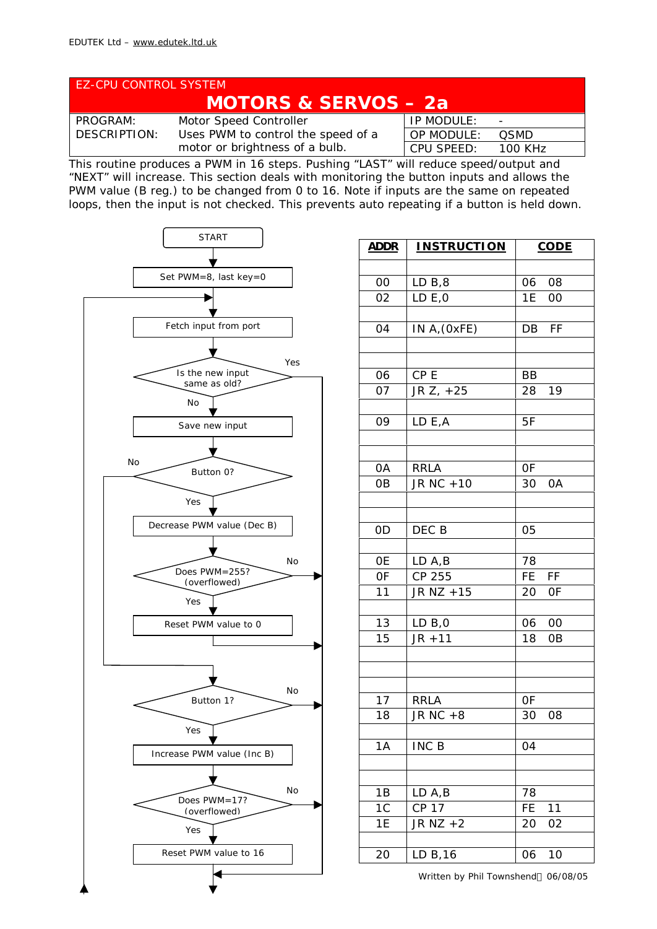| <b>EZ-CPU CONTROL SYSTEM</b>    |                                    |                   |                |  |  |
|---------------------------------|------------------------------------|-------------------|----------------|--|--|
| <b>MOTORS &amp; SERVOS - 2a</b> |                                    |                   |                |  |  |
| <b>PROGRAM:</b>                 | <b>Motor Speed Controller</b>      | IP MODULE:        | $\blacksquare$ |  |  |
| <b>DESCRIPTION:</b>             | Uses PWM to control the speed of a | <b>OP MODULE:</b> | <b>OSMD</b>    |  |  |
|                                 | motor or brightness of a bulb.     | <b>CPU SPEED:</b> | <b>100 KHz</b> |  |  |

This routine produces a PWM in 16 steps. Pushing "LAST" will reduce speed/output and "NEXT" will increase. This section deals with monitoring the button inputs and allows the PWM value (B reg.) to be changed from 0 to 16. Note if inputs are the same on repeated loops, then the input is not checked. This prevents auto repeating if a button is held down.



| <b>INSTRUCTION</b>     | <b>CODE</b>                                                                                                                                                                               |
|------------------------|-------------------------------------------------------------------------------------------------------------------------------------------------------------------------------------------|
|                        |                                                                                                                                                                                           |
|                        | 06 08                                                                                                                                                                                     |
|                        | 1E<br>00                                                                                                                                                                                  |
|                        |                                                                                                                                                                                           |
|                        | DB<br><b>FF</b>                                                                                                                                                                           |
|                        |                                                                                                                                                                                           |
|                        | ВB                                                                                                                                                                                        |
|                        | 19<br>28                                                                                                                                                                                  |
|                        |                                                                                                                                                                                           |
| LD E,A                 | 5F                                                                                                                                                                                        |
|                        |                                                                                                                                                                                           |
|                        |                                                                                                                                                                                           |
|                        | <b>OF</b>                                                                                                                                                                                 |
|                        | 30 OA                                                                                                                                                                                     |
|                        |                                                                                                                                                                                           |
|                        | 05                                                                                                                                                                                        |
|                        |                                                                                                                                                                                           |
| LD A,B                 | 78                                                                                                                                                                                        |
| CP 255                 | $F\overline{F}$<br>FE.                                                                                                                                                                    |
| JR NZ +15              | 20<br><b>OF</b>                                                                                                                                                                           |
|                        |                                                                                                                                                                                           |
|                        | 06<br>00                                                                                                                                                                                  |
|                        | 18<br>0B                                                                                                                                                                                  |
|                        |                                                                                                                                                                                           |
|                        |                                                                                                                                                                                           |
| <b>RRLA</b>            | <b>OF</b>                                                                                                                                                                                 |
| JR $N\overline{C} + 8$ | 30<br>08                                                                                                                                                                                  |
|                        |                                                                                                                                                                                           |
| INC B                  | 04                                                                                                                                                                                        |
|                        |                                                                                                                                                                                           |
|                        | 78                                                                                                                                                                                        |
|                        | 11<br>FE                                                                                                                                                                                  |
|                        | 20<br>02                                                                                                                                                                                  |
|                        |                                                                                                                                                                                           |
| LD B, 16               | 06<br>10                                                                                                                                                                                  |
|                        | LD B, 8<br>LD E, 0<br>IN A, (OxFE)<br>CP <sub>E</sub><br>JR Z, +25<br><b>RRLA</b><br>JR NC +10<br>DEC B<br>LD B, 0<br>$\overline{JR} + 11$<br>LD A,B<br>$\overline{CP}$ 17<br>JR $NZ + 2$ |

Written by Phil Townshend© 06/08/05